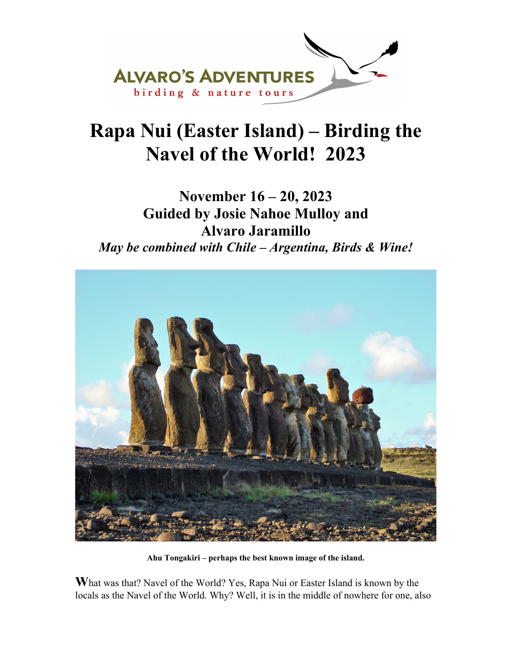

## **Rapa Nui (Easter Island) – Birding the Navel of the World! 2023**

**November 16 – 20, 2023 Guided by Josie Nahoe Mulloy and Alvaro Jaramillo**  *May be combined with Chile – Argentina, Birds & Wine!* 



**Ahu Tongakiri – perhaps the best known image of the island.** 

**W**hat was that? Navel of the World? Yes, Rapa Nui or Easter Island is known by the locals as the Navel of the World. Why? Well, it is in the middle of nowhere for one, also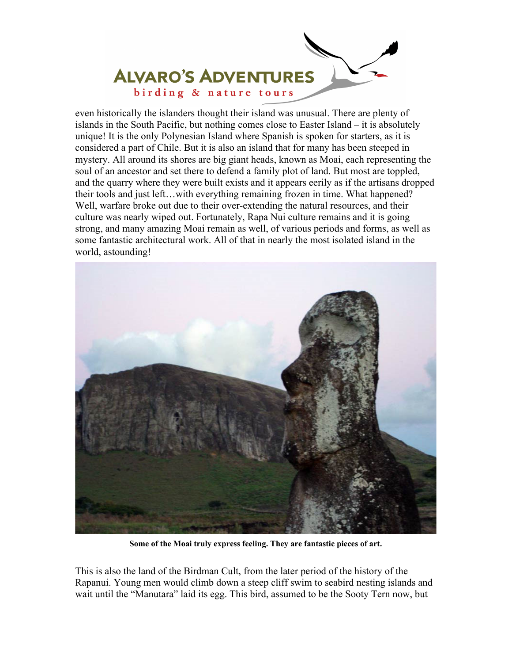

even historically the islanders thought their island was unusual. There are plenty of islands in the South Pacific, but nothing comes close to Easter Island – it is absolutely unique! It is the only Polynesian Island where Spanish is spoken for starters, as it is considered a part of Chile. But it is also an island that for many has been steeped in mystery. All around its shores are big giant heads, known as Moai, each representing the soul of an ancestor and set there to defend a family plot of land. But most are toppled, and the quarry where they were built exists and it appears eerily as if the artisans dropped their tools and just left…with everything remaining frozen in time. What happened? Well, warfare broke out due to their over-extending the natural resources, and their culture was nearly wiped out. Fortunately, Rapa Nui culture remains and it is going strong, and many amazing Moai remain as well, of various periods and forms, as well as some fantastic architectural work. All of that in nearly the most isolated island in the world, astounding!



**Some of the Moai truly express feeling. They are fantastic pieces of art.** 

This is also the land of the Birdman Cult, from the later period of the history of the Rapanui. Young men would climb down a steep cliff swim to seabird nesting islands and wait until the "Manutara" laid its egg. This bird, assumed to be the Sooty Tern now, but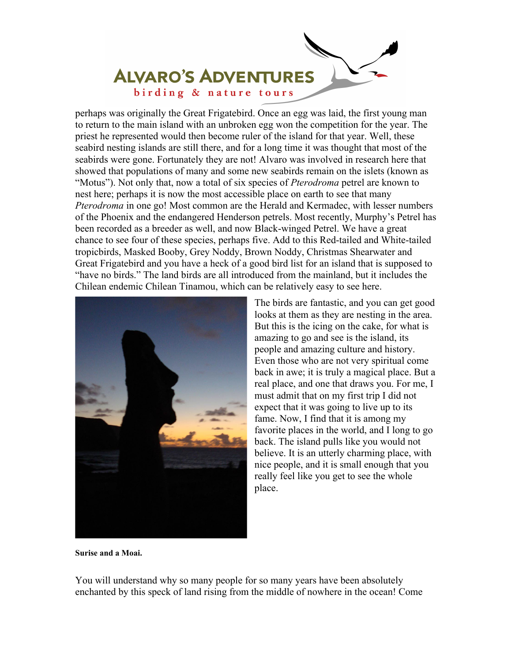

perhaps was originally the Great Frigatebird. Once an egg was laid, the first young man to return to the main island with an unbroken egg won the competition for the year. The priest he represented would then become ruler of the island for that year. Well, these seabird nesting islands are still there, and for a long time it was thought that most of the seabirds were gone. Fortunately they are not! Alvaro was involved in research here that showed that populations of many and some new seabirds remain on the islets (known as "Motus"). Not only that, now a total of six species of *Pterodroma* petrel are known to nest here; perhaps it is now the most accessible place on earth to see that many *Pterodroma* in one go! Most common are the Herald and Kermadec, with lesser numbers of the Phoenix and the endangered Henderson petrels. Most recently, Murphy's Petrel has been recorded as a breeder as well, and now Black-winged Petrel. We have a great chance to see four of these species, perhaps five. Add to this Red-tailed and White-tailed tropicbirds, Masked Booby, Grey Noddy, Brown Noddy, Christmas Shearwater and Great Frigatebird and you have a heck of a good bird list for an island that is supposed to "have no birds." The land birds are all introduced from the mainland, but it includes the Chilean endemic Chilean Tinamou, which can be relatively easy to see here.



The birds are fantastic, and you can get good looks at them as they are nesting in the area. But this is the icing on the cake, for what is amazing to go and see is the island, its people and amazing culture and history. Even those who are not very spiritual come back in awe; it is truly a magical place. But a real place, and one that draws you. For me, I must admit that on my first trip I did not expect that it was going to live up to its fame. Now, I find that it is among my favorite places in the world, and I long to go back. The island pulls like you would not believe. It is an utterly charming place, with nice people, and it is small enough that you really feel like you get to see the whole place.

**Surise and a Moai.** 

You will understand why so many people for so many years have been absolutely enchanted by this speck of land rising from the middle of nowhere in the ocean! Come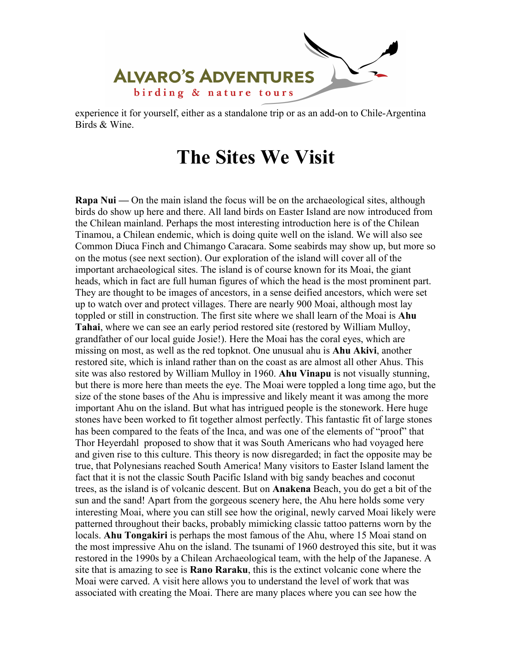

experience it for yourself, either as a standalone trip or as an add-on to Chile-Argentina Birds & Wine.

#### **The Sites We Visit**

**Rapa Nui** — On the main island the focus will be on the archaeological sites, although birds do show up here and there. All land birds on Easter Island are now introduced from the Chilean mainland. Perhaps the most interesting introduction here is of the Chilean Tinamou, a Chilean endemic, which is doing quite well on the island. We will also see Common Diuca Finch and Chimango Caracara. Some seabirds may show up, but more so on the motus (see next section). Our exploration of the island will cover all of the important archaeological sites. The island is of course known for its Moai, the giant heads, which in fact are full human figures of which the head is the most prominent part. They are thought to be images of ancestors, in a sense deified ancestors, which were set up to watch over and protect villages. There are nearly 900 Moai, although most lay toppled or still in construction. The first site where we shall learn of the Moai is **Ahu Tahai**, where we can see an early period restored site (restored by William Mulloy, grandfather of our local guide Josie!). Here the Moai has the coral eyes, which are missing on most, as well as the red topknot. One unusual ahu is **Ahu Akivi**, another restored site, which is inland rather than on the coast as are almost all other Ahus. This site was also restored by William Mulloy in 1960. **Ahu Vinapu** is not visually stunning, but there is more here than meets the eye. The Moai were toppled a long time ago, but the size of the stone bases of the Ahu is impressive and likely meant it was among the more important Ahu on the island. But what has intrigued people is the stonework. Here huge stones have been worked to fit together almost perfectly. This fantastic fit of large stones has been compared to the feats of the Inca, and was one of the elements of "proof" that Thor Heyerdahl proposed to show that it was South Americans who had voyaged here and given rise to this culture. This theory is now disregarded; in fact the opposite may be true, that Polynesians reached South America! Many visitors to Easter Island lament the fact that it is not the classic South Pacific Island with big sandy beaches and coconut trees, as the island is of volcanic descent. But on **Anakena** Beach, you do get a bit of the sun and the sand! Apart from the gorgeous scenery here, the Ahu here holds some very interesting Moai, where you can still see how the original, newly carved Moai likely were patterned throughout their backs, probably mimicking classic tattoo patterns worn by the locals. **Ahu Tongakiri** is perhaps the most famous of the Ahu, where 15 Moai stand on the most impressive Ahu on the island. The tsunami of 1960 destroyed this site, but it was restored in the 1990s by a Chilean Archaeological team, with the help of the Japanese. A site that is amazing to see is **Rano Raraku**, this is the extinct volcanic cone where the Moai were carved. A visit here allows you to understand the level of work that was associated with creating the Moai. There are many places where you can see how the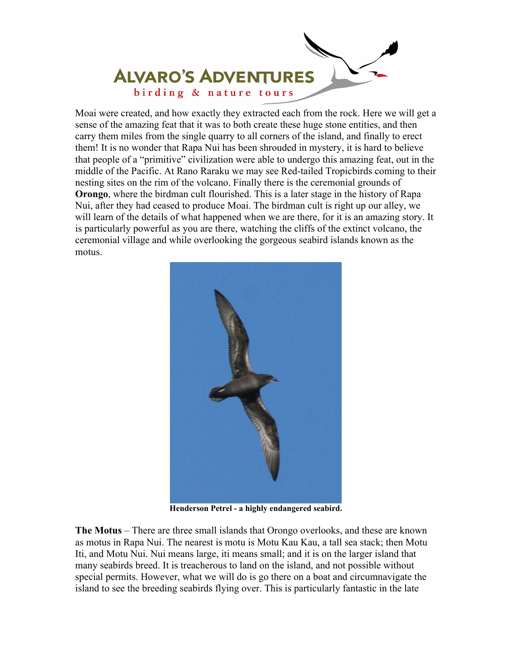

Moai were created, and how exactly they extracted each from the rock. Here we will get a sense of the amazing feat that it was to both create these huge stone entities, and then carry them miles from the single quarry to all corners of the island, and finally to erect them! It is no wonder that Rapa Nui has been shrouded in mystery, it is hard to believe that people of a "primitive" civilization were able to undergo this amazing feat, out in the middle of the Pacific. At Rano Raraku we may see Red-tailed Tropicbirds coming to their nesting sites on the rim of the volcano. Finally there is the ceremonial grounds of **Orongo**, where the birdman cult flourished. This is a later stage in the history of Rapa Nui, after they had ceased to produce Moai. The birdman cult is right up our alley, we will learn of the details of what happened when we are there, for it is an amazing story. It is particularly powerful as you are there, watching the cliffs of the extinct volcano, the ceremonial village and while overlooking the gorgeous seabird islands known as the motus.



**Henderson Petrel - a highly endangered seabird.** 

**The Motus** – There are three small islands that Orongo overlooks, and these are known as motus in Rapa Nui. The nearest is motu is Motu Kau Kau, a tall sea stack; then Motu Iti, and Motu Nui. Nui means large, iti means small; and it is on the larger island that many seabirds breed. It is treacherous to land on the island, and not possible without special permits. However, what we will do is go there on a boat and circumnavigate the island to see the breeding seabirds flying over. This is particularly fantastic in the late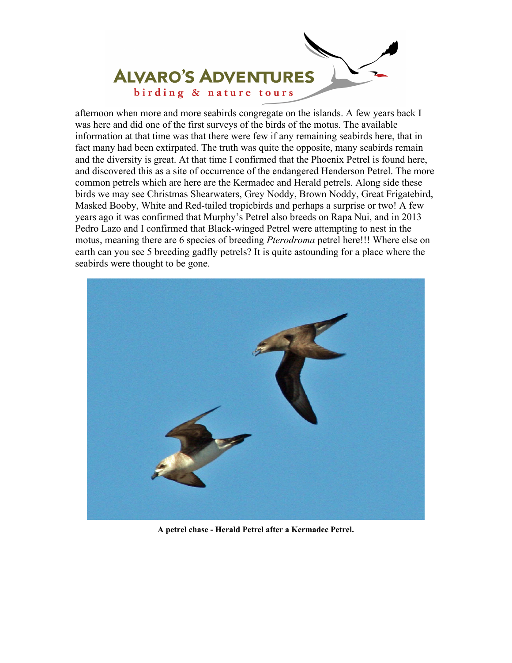

afternoon when more and more seabirds congregate on the islands. A few years back I was here and did one of the first surveys of the birds of the motus. The available information at that time was that there were few if any remaining seabirds here, that in fact many had been extirpated. The truth was quite the opposite, many seabirds remain and the diversity is great. At that time I confirmed that the Phoenix Petrel is found here, and discovered this as a site of occurrence of the endangered Henderson Petrel. The more common petrels which are here are the Kermadec and Herald petrels. Along side these birds we may see Christmas Shearwaters, Grey Noddy, Brown Noddy, Great Frigatebird, Masked Booby, White and Red-tailed tropicbirds and perhaps a surprise or two! A few years ago it was confirmed that Murphy's Petrel also breeds on Rapa Nui, and in 2013 Pedro Lazo and I confirmed that Black-winged Petrel were attempting to nest in the motus, meaning there are 6 species of breeding *Pterodroma* petrel here!!! Where else on earth can you see 5 breeding gadfly petrels? It is quite astounding for a place where the seabirds were thought to be gone.



**A petrel chase - Herald Petrel after a Kermadec Petrel.**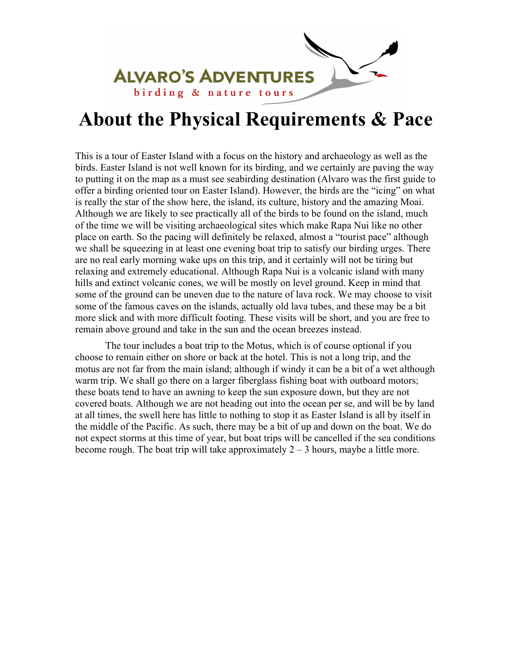

#### **About the Physical Requirements & Pace**

This is a tour of Easter Island with a focus on the history and archaeology as well as the birds. Easter Island is not well known for its birding, and we certainly are paving the way to putting it on the map as a must see seabirding destination (Alvaro was the first guide to offer a birding oriented tour on Easter Island). However, the birds are the "icing" on what is really the star of the show here, the island, its culture, history and the amazing Moai. Although we are likely to see practically all of the birds to be found on the island, much of the time we will be visiting archaeological sites which make Rapa Nui like no other place on earth. So the pacing will definitely be relaxed, almost a "tourist pace" although we shall be squeezing in at least one evening boat trip to satisfy our birding urges. There are no real early morning wake ups on this trip, and it certainly will not be tiring but relaxing and extremely educational. Although Rapa Nui is a volcanic island with many hills and extinct volcanic cones, we will be mostly on level ground. Keep in mind that some of the ground can be uneven due to the nature of lava rock. We may choose to visit some of the famous caves on the islands, actually old lava tubes, and these may be a bit more slick and with more difficult footing. These visits will be short, and you are free to remain above ground and take in the sun and the ocean breezes instead.

 The tour includes a boat trip to the Motus, which is of course optional if you choose to remain either on shore or back at the hotel. This is not a long trip, and the motus are not far from the main island; although if windy it can be a bit of a wet although warm trip. We shall go there on a larger fiberglass fishing boat with outboard motors; these boats tend to have an awning to keep the sun exposure down, but they are not covered boats. Although we are not heading out into the ocean per se, and will be by land at all times, the swell here has little to nothing to stop it as Easter Island is all by itself in the middle of the Pacific. As such, there may be a bit of up and down on the boat. We do not expect storms at this time of year, but boat trips will be cancelled if the sea conditions become rough. The boat trip will take approximately  $2 - 3$  hours, maybe a little more.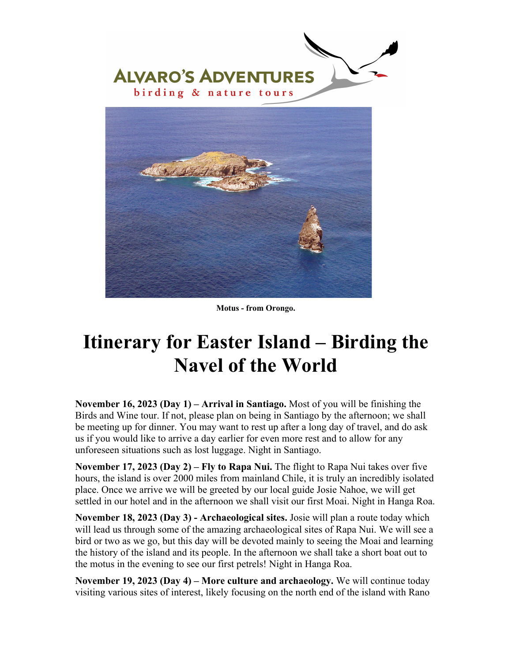



**Motus - from Orongo.** 

# **Itinerary for Easter Island – Birding the Navel of the World**

**November 16, 2023 (Day 1) – Arrival in Santiago.** Most of you will be finishing the Birds and Wine tour. If not, please plan on being in Santiago by the afternoon; we shall be meeting up for dinner. You may want to rest up after a long day of travel, and do ask us if you would like to arrive a day earlier for even more rest and to allow for any unforeseen situations such as lost luggage. Night in Santiago.

**November 17, 2023 (Day 2) – Fly to Rapa Nui.** The flight to Rapa Nui takes over five hours, the island is over 2000 miles from mainland Chile, it is truly an incredibly isolated place. Once we arrive we will be greeted by our local guide Josie Nahoe, we will get settled in our hotel and in the afternoon we shall visit our first Moai. Night in Hanga Roa.

**November 18, 2023 (Day 3) - Archaeological sites.** Josie will plan a route today which will lead us through some of the amazing archaeological sites of Rapa Nui. We will see a bird or two as we go, but this day will be devoted mainly to seeing the Moai and learning the history of the island and its people. In the afternoon we shall take a short boat out to the motus in the evening to see our first petrels! Night in Hanga Roa.

**November 19, 2023 (Day 4) – More culture and archaeology.** We will continue today visiting various sites of interest, likely focusing on the north end of the island with Rano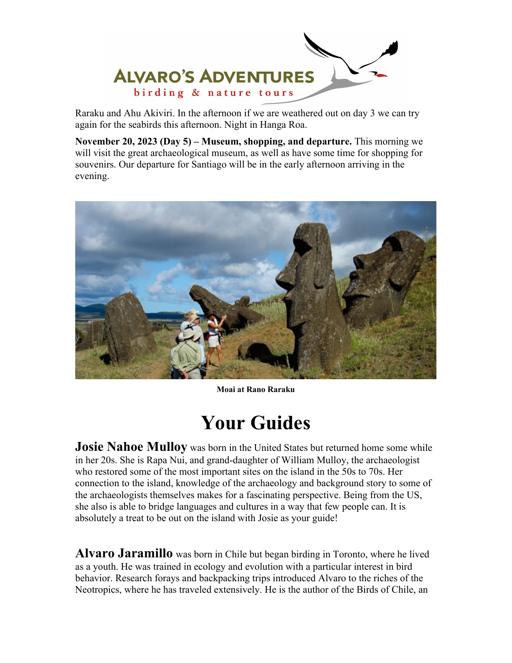

Raraku and Ahu Akiviri. In the afternoon if we are weathered out on day 3 we can try again for the seabirds this afternoon. Night in Hanga Roa.

**November 20, 2023 (Day 5) – Museum, shopping, and departure.** This morning we will visit the great archaeological museum, as well as have some time for shopping for souvenirs. Our departure for Santiago will be in the early afternoon arriving in the evening.



**Moai at Rano Raraku** 

## **Your Guides**

**Josie Nahoe Mulloy** was born in the United States but returned home some while in her 20s. She is Rapa Nui, and grand-daughter of William Mulloy, the archaeologist who restored some of the most important sites on the island in the 50s to 70s. Her connection to the island, knowledge of the archaeology and background story to some of the archaeologists themselves makes for a fascinating perspective. Being from the US, she also is able to bridge languages and cultures in a way that few people can. It is absolutely a treat to be out on the island with Josie as your guide!

**Alvaro Jaramillo** was born in Chile but began birding in Toronto, where he lived as a youth. He was trained in ecology and evolution with a particular interest in bird behavior. Research forays and backpacking trips introduced Alvaro to the riches of the Neotropics, where he has traveled extensively. He is the author of the Birds of Chile, an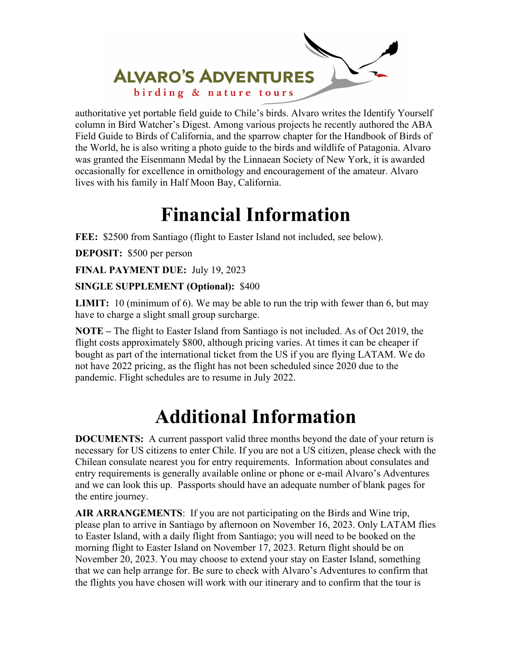

authoritative yet portable field guide to Chile's birds. Alvaro writes the Identify Yourself column in Bird Watcher's Digest. Among various projects he recently authored the ABA Field Guide to Birds of California, and the sparrow chapter for the Handbook of Birds of the World, he is also writing a photo guide to the birds and wildlife of Patagonia. Alvaro was granted the Eisenmann Medal by the Linnaean Society of New York, it is awarded occasionally for excellence in ornithology and encouragement of the amateur. Alvaro lives with his family in Half Moon Bay, California.

#### **Financial Information**

**FEE:** \$2500 from Santiago (flight to Easter Island not included, see below).

**DEPOSIT:** \$500 per person

**FINAL PAYMENT DUE:** July 19, 2023

#### **SINGLE SUPPLEMENT (Optional):** \$400

**LIMIT:** 10 (minimum of 6). We may be able to run the trip with fewer than 6, but may have to charge a slight small group surcharge.

**NOTE –** The flight to Easter Island from Santiago is not included. As of Oct 2019, the flight costs approximately \$800, although pricing varies. At times it can be cheaper if bought as part of the international ticket from the US if you are flying LATAM. We do not have 2022 pricing, as the flight has not been scheduled since 2020 due to the pandemic. Flight schedules are to resume in July 2022.

# **Additional Information**

**DOCUMENTS:** A current passport valid three months beyond the date of your return is necessary for US citizens to enter Chile. If you are not a US citizen, please check with the Chilean consulate nearest you for entry requirements. Information about consulates and entry requirements is generally available online or phone or e-mail Alvaro's Adventures and we can look this up. Passports should have an adequate number of blank pages for the entire journey.

**AIR ARRANGEMENTS**: If you are not participating on the Birds and Wine trip, please plan to arrive in Santiago by afternoon on November 16, 2023. Only LATAM flies to Easter Island, with a daily flight from Santiago; you will need to be booked on the morning flight to Easter Island on November 17, 2023. Return flight should be on November 20, 2023. You may choose to extend your stay on Easter Island, something that we can help arrange for. Be sure to check with Alvaro's Adventures to confirm that the flights you have chosen will work with our itinerary and to confirm that the tour is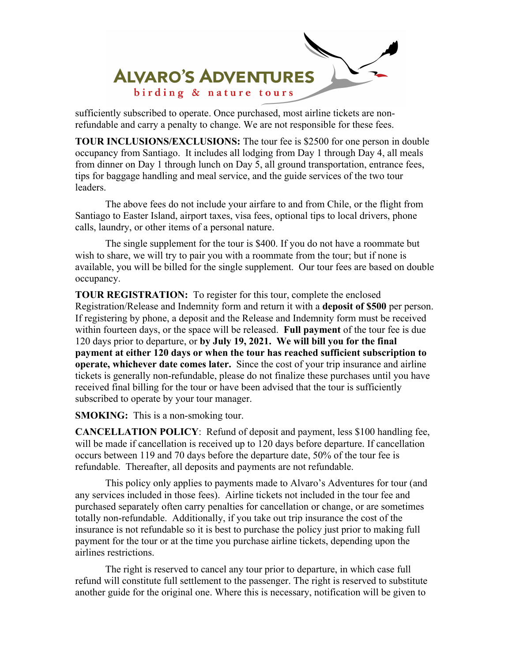

sufficiently subscribed to operate. Once purchased, most airline tickets are nonrefundable and carry a penalty to change. We are not responsible for these fees.

**TOUR INCLUSIONS/EXCLUSIONS:** The tour fee is \$2500 for one person in double occupancy from Santiago. It includes all lodging from Day 1 through Day 4, all meals from dinner on Day 1 through lunch on Day 5, all ground transportation, entrance fees, tips for baggage handling and meal service, and the guide services of the two tour leaders.

 The above fees do not include your airfare to and from Chile, or the flight from Santiago to Easter Island, airport taxes, visa fees, optional tips to local drivers, phone calls, laundry, or other items of a personal nature.

 The single supplement for the tour is \$400. If you do not have a roommate but wish to share, we will try to pair you with a roommate from the tour; but if none is available, you will be billed for the single supplement. Our tour fees are based on double occupancy.

**TOUR REGISTRATION:** To register for this tour, complete the enclosed Registration/Release and Indemnity form and return it with a **deposit of \$500** per person. If registering by phone, a deposit and the Release and Indemnity form must be received within fourteen days, or the space will be released. **Full payment** of the tour fee is due 120 days prior to departure, or **by July 19, 2021. We will bill you for the final payment at either 120 days or when the tour has reached sufficient subscription to operate, whichever date comes later.** Since the cost of your trip insurance and airline tickets is generally non-refundable, please do not finalize these purchases until you have received final billing for the tour or have been advised that the tour is sufficiently subscribed to operate by your tour manager.

**SMOKING:** This is a non-smoking tour.

**CANCELLATION POLICY**: Refund of deposit and payment, less \$100 handling fee, will be made if cancellation is received up to 120 days before departure. If cancellation occurs between 119 and 70 days before the departure date, 50% of the tour fee is refundable. Thereafter, all deposits and payments are not refundable.

 This policy only applies to payments made to Alvaro's Adventures for tour (and any services included in those fees). Airline tickets not included in the tour fee and purchased separately often carry penalties for cancellation or change, or are sometimes totally non-refundable. Additionally, if you take out trip insurance the cost of the insurance is not refundable so it is best to purchase the policy just prior to making full payment for the tour or at the time you purchase airline tickets, depending upon the airlines restrictions.

 The right is reserved to cancel any tour prior to departure, in which case full refund will constitute full settlement to the passenger. The right is reserved to substitute another guide for the original one. Where this is necessary, notification will be given to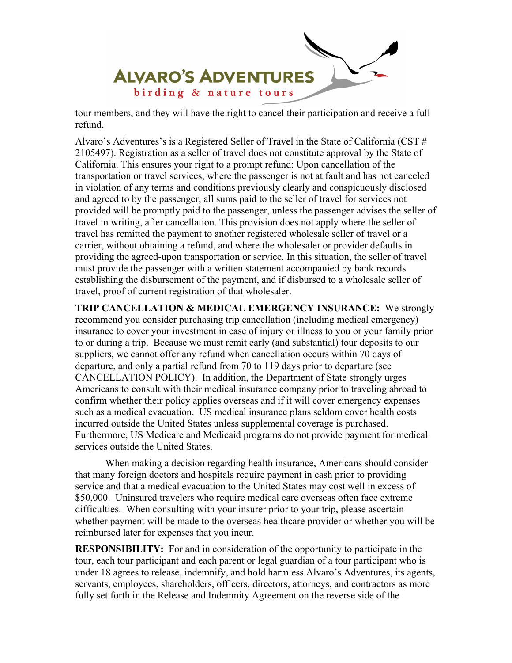

tour members, and they will have the right to cancel their participation and receive a full refund.

Alvaro's Adventures's is a Registered Seller of Travel in the State of California (CST # 2105497). Registration as a seller of travel does not constitute approval by the State of California. This ensures your right to a prompt refund: Upon cancellation of the transportation or travel services, where the passenger is not at fault and has not canceled in violation of any terms and conditions previously clearly and conspicuously disclosed and agreed to by the passenger, all sums paid to the seller of travel for services not provided will be promptly paid to the passenger, unless the passenger advises the seller of travel in writing, after cancellation. This provision does not apply where the seller of travel has remitted the payment to another registered wholesale seller of travel or a carrier, without obtaining a refund, and where the wholesaler or provider defaults in providing the agreed-upon transportation or service. In this situation, the seller of travel must provide the passenger with a written statement accompanied by bank records establishing the disbursement of the payment, and if disbursed to a wholesale seller of travel, proof of current registration of that wholesaler.

**TRIP CANCELLATION & MEDICAL EMERGENCY INSURANCE:** We strongly recommend you consider purchasing trip cancellation (including medical emergency) insurance to cover your investment in case of injury or illness to you or your family prior to or during a trip. Because we must remit early (and substantial) tour deposits to our suppliers, we cannot offer any refund when cancellation occurs within 70 days of departure, and only a partial refund from 70 to 119 days prior to departure (see CANCELLATION POLICY). In addition, the Department of State strongly urges Americans to consult with their medical insurance company prior to traveling abroad to confirm whether their policy applies overseas and if it will cover emergency expenses such as a medical evacuation. US medical insurance plans seldom cover health costs incurred outside the United States unless supplemental coverage is purchased. Furthermore, US Medicare and Medicaid programs do not provide payment for medical services outside the United States.

 When making a decision regarding health insurance, Americans should consider that many foreign doctors and hospitals require payment in cash prior to providing service and that a medical evacuation to the United States may cost well in excess of \$50,000. Uninsured travelers who require medical care overseas often face extreme difficulties. When consulting with your insurer prior to your trip, please ascertain whether payment will be made to the overseas healthcare provider or whether you will be reimbursed later for expenses that you incur.

**RESPONSIBILITY:** For and in consideration of the opportunity to participate in the tour, each tour participant and each parent or legal guardian of a tour participant who is under 18 agrees to release, indemnify, and hold harmless Alvaro's Adventures, its agents, servants, employees, shareholders, officers, directors, attorneys, and contractors as more fully set forth in the Release and Indemnity Agreement on the reverse side of the